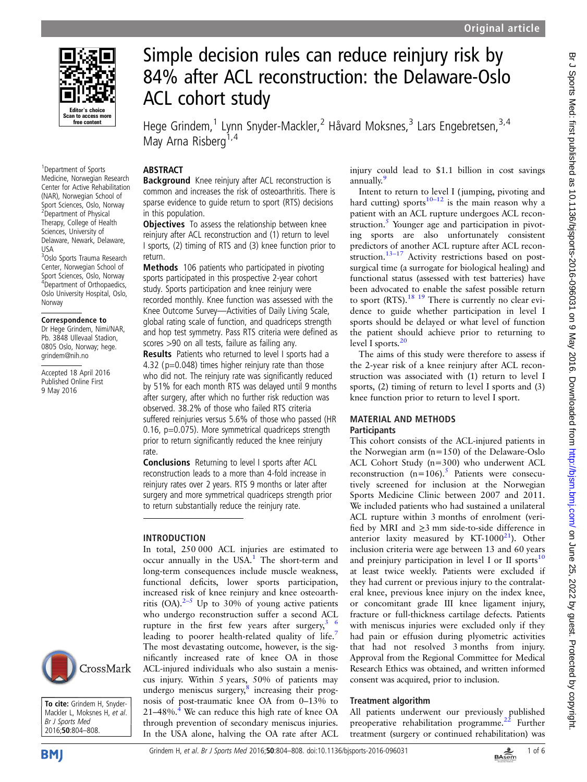

1 Department of Sports Medicine, Norwegian Research Center for Active Rehabilitation (NAR), Norwegian School of Sport Sciences, Oslo, Norway 2 Department of Physical Therapy, College of Health Sciences, University of Delaware, Newark, Delaware, USA <sup>3</sup>Oslo Sports Trauma Research

Center, Norwegian School of Sport Sciences, Oslo, Norway 4 Department of Orthopaedics, Oslo University Hospital, Oslo, Norway

### Correspondence to

Dr Hege Grindem, Nimi/NAR, Pb. 3848 Ullevaal Stadion, 0805 Oslo, Norway; hege. grindem@nih.no

Accepted 18 April 2016 Published Online First 9 May 2016



To cite: Grindem H, Snyder-Mackler L, Moksnes H, et al. Br J Sports Med 2016;50:804–808.

# Simple decision rules can reduce reinjury risk by 84% after ACL reconstruction: the Delaware-Oslo ACL cohort study

Hege Grindem,<sup>1</sup> Lynn Snyder-Mackler,<sup>2</sup> Håvard Moksnes,<sup>3</sup> Lars Engebretsen,<sup>3,4</sup> May Arna Risberg<sup>1,4</sup>

## ABSTRACT

Background Knee reinjury after ACL reconstruction is common and increases the risk of osteoarthritis. There is sparse evidence to guide return to sport (RTS) decisions in this population.

**Objectives** To assess the relationship between knee reinjury after ACL reconstruction and (1) return to level I sports, (2) timing of RTS and (3) knee function prior to return.

Methods 106 patients who participated in pivoting sports participated in this prospective 2-year cohort study. Sports participation and knee reinjury were recorded monthly. Knee function was assessed with the Knee Outcome Survey—Activities of Daily Living Scale, global rating scale of function, and quadriceps strength and hop test symmetry. Pass RTS criteria were defined as scores >90 on all tests, failure as failing any.

Results Patients who returned to level I sports had a 4.32 (p=0.048) times higher reinjury rate than those who did not. The reinjury rate was significantly reduced by 51% for each month RTS was delayed until 9 months after surgery, after which no further risk reduction was observed. 38.2% of those who failed RTS criteria suffered reinjuries versus 5.6% of those who passed (HR 0.16, p=0.075). More symmetrical quadriceps strength prior to return significantly reduced the knee reinjury rate.

Conclusions Returning to level I sports after ACL reconstruction leads to a more than 4-fold increase in reinjury rates over 2 years. RTS 9 months or later after surgery and more symmetrical quadriceps strength prior to return substantially reduce the reinjury rate.

# INTRODUCTION

In total, 250 000 ACL injuries are estimated to occur annually in the USA.<sup>[1](#page-4-0)</sup> The short-term and long-term consequences include muscle weakness, functional deficits, lower sports participation, increased risk of knee reinjury and knee osteoarthritis (OA). $2-5$  $2-5$  Up to 30% of young active patients who undergo reconstruction suffer a second ACL rupture in the first few years after surgery,  $3/6$ leading to poorer health-related quality of life.<sup>[7](#page-4-0)</sup> The most devastating outcome, however, is the significantly increased rate of knee OA in those ACL-injured individuals who also sustain a meniscus injury. Within 5 years, 50% of patients may undergo meniscus surgery, $\delta$  increasing their prognosis of post-traumatic knee OA from 0–13% to  $21-48\%$ .<sup>4</sup> We can reduce this high rate of knee OA through prevention of secondary meniscus injuries. In the USA alone, halving the OA rate after ACL

injury could lead to \$1.1 billion in cost savings annually.[9](#page-4-0)

Intent to return to level I ( jumping, pivoting and hard cutting) sports<sup>10–12</sup> is the main reason why a patient with an ACL rupture undergoes ACL reconstruction. $5$  Younger age and participation in pivoting sports are also unfortunately consistent predictors of another ACL rupture after ACL recon-struction.<sup>[13](#page-4-0)–17</sup> Activity restrictions based on postsurgical time (a surrogate for biological healing) and functional status (assessed with test batteries) have been advocated to enable the safest possible return to sport (RTS).<sup>[18 19](#page-4-0)</sup> There is currently no clear evidence to guide whether participation in level I sports should be delayed or what level of function the patient should achieve prior to returning to level I sports.<sup>[20](#page-4-0)</sup>

The aims of this study were therefore to assess if the 2-year risk of a knee reinjury after ACL reconstruction was associated with (1) return to level I sports, (2) timing of return to level I sports and (3) knee function prior to return to level I sport.

## MATERIAL AND METHODS **Participants**

This cohort consists of the ACL-injured patients in the Norwegian arm (n=150) of the Delaware-Oslo ACL Cohort Study (n=300) who underwent ACL reconstruction  $(n=106)$ .<sup>[5](#page-4-0)</sup> Patients were consecutively screened for inclusion at the Norwegian Sports Medicine Clinic between 2007 and 2011. We included patients who had sustained a unilateral ACL rupture within 3 months of enrolment (verified by MRI and ≥3 mm side-to-side difference in anterior laxity measured by KT-1000 $^{21}$ ). Other inclusion criteria were age between 13 and 60 years and preinjury participation in level I or II sports $10$ at least twice weekly. Patients were excluded if they had current or previous injury to the contralateral knee, previous knee injury on the index knee, or concomitant grade III knee ligament injury, fracture or full-thickness cartilage defects. Patients with meniscus injuries were excluded only if they had pain or effusion during plyometric activities that had not resolved 3 months from injury. Approval from the Regional Committee for Medical Research Ethics was obtained, and written informed consent was acquired, prior to inclusion.

# Treatment algorithm

All patients underwent our previously published preoperative rehabilitation programme. $^{22}$  Further treatment (surgery or continued rehabilitation) was

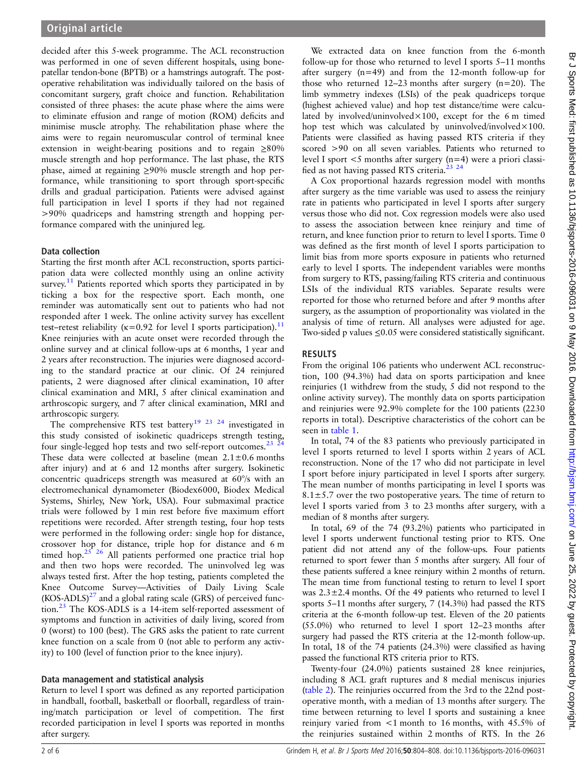decided after this 5-week programme. The ACL reconstruction was performed in one of seven different hospitals, using bonepatellar tendon-bone (BPTB) or a hamstrings autograft. The postoperative rehabilitation was individually tailored on the basis of concomitant surgery, graft choice and function. Rehabilitation consisted of three phases: the acute phase where the aims were to eliminate effusion and range of motion (ROM) deficits and minimise muscle atrophy. The rehabilitation phase where the aims were to regain neuromuscular control of terminal knee extension in weight-bearing positions and to regain ≥80% muscle strength and hop performance. The last phase, the RTS phase, aimed at regaining ≥90% muscle strength and hop performance, while transitioning to sport through sport-specific drills and gradual participation. Patients were advised against full participation in level I sports if they had not regained >90% quadriceps and hamstring strength and hopping performance compared with the uninjured leg.

## Data collection

Starting the first month after ACL reconstruction, sports participation data were collected monthly using an online activity survey.<sup>[11](#page-4-0)</sup> Patients reported which sports they participated in by ticking a box for the respective sport. Each month, one reminder was automatically sent out to patients who had not responded after 1 week. The online activity survey has excellent test–retest reliability ( $\kappa$ =0.92 for level I sports participation).<sup>11</sup> Knee reinjuries with an acute onset were recorded through the online survey and at clinical follow-ups at 6 months, 1 year and 2 years after reconstruction. The injuries were diagnosed according to the standard practice at our clinic. Of 24 reinjured patients, 2 were diagnosed after clinical examination, 10 after clinical examination and MRI, 5 after clinical examination and arthroscopic surgery, and 7 after clinical examination, MRI and arthroscopic surgery.

The comprehensive RTS test battery<sup>[19 23 24](#page-4-0)</sup> investigated in this study consisted of isokinetic quadriceps strength testing, four single-legged hop tests and two self-report outcomes.<sup>23</sup>  $^{24}$ These data were collected at baseline (mean  $2.1 \pm 0.6$  months after injury) and at 6 and 12 months after surgery. Isokinetic concentric quadriceps strength was measured at 60°/s with an electromechanical dynamometer (Biodex6000, Biodex Medical Systems, Shirley, New York, USA). Four submaximal practice trials were followed by 1 min rest before five maximum effort repetitions were recorded. After strength testing, four hop tests were performed in the following order: single hop for distance, crossover hop for distance, triple hop for distance and 6 m timed hop.<sup>25</sup><sup>26</sup> All patients performed one practice trial hop and then two hops were recorded. The uninvolved leg was always tested first. After the hop testing, patients completed the Knee Outcome Survey—Activities of Daily Living Scale  $(KOS-ADLS)^{27}$  $(KOS-ADLS)^{27}$  $(KOS-ADLS)^{27}$  and a global rating scale (GRS) of perceived function.[23](#page-4-0) The KOS-ADLS is a 14-item self-reported assessment of symptoms and function in activities of daily living, scored from 0 (worst) to 100 (best). The GRS asks the patient to rate current knee function on a scale from 0 (not able to perform any activity) to 100 (level of function prior to the knee injury).

## Data management and statistical analysis

Return to level I sport was defined as any reported participation in handball, football, basketball or floorball, regardless of training/match participation or level of competition. The first recorded participation in level I sports was reported in months after surgery.

We extracted data on knee function from the 6-month follow-up for those who returned to level I sports 5–11 months after surgery (n=49) and from the 12-month follow-up for those who returned 12–23 months after surgery (n=20). The limb symmetry indexes (LSIs) of the peak quadriceps torque (highest achieved value) and hop test distance/time were calculated by involved/uninvolved×100, except for the 6 m timed hop test which was calculated by uninvolved/involved $\times 100$ . Patients were classified as having passed RTS criteria if they scored >90 on all seven variables. Patients who returned to level I sport <5 months after surgery (n=4) were a priori classified as not having passed RTS criteria.<sup>23</sup> <sup>24</sup>

A Cox proportional hazards regression model with months after surgery as the time variable was used to assess the reinjury rate in patients who participated in level I sports after surgery versus those who did not. Cox regression models were also used to assess the association between knee reinjury and time of return, and knee function prior to return to level I sports. Time 0 was defined as the first month of level I sports participation to limit bias from more sports exposure in patients who returned early to level I sports. The independent variables were months from surgery to RTS, passing/failing RTS criteria and continuous LSIs of the individual RTS variables. Separate results were reported for those who returned before and after 9 months after surgery, as the assumption of proportionality was violated in the analysis of time of return. All analyses were adjusted for age. Two-sided p values ≤0.05 were considered statistically significant.

# RESULTS

From the original 106 patients who underwent ACL reconstruction, 100 (94.3%) had data on sports participation and knee reinjuries (1 withdrew from the study, 5 did not respond to the online activity survey). The monthly data on sports participation and reinjuries were 92.9% complete for the 100 patients (2230 reports in total). Descriptive characteristics of the cohort can be seen in [table 1.](#page-2-0)

In total, 74 of the 83 patients who previously participated in level I sports returned to level I sports within 2 years of ACL reconstruction. None of the 17 who did not participate in level I sport before injury participated in level I sports after surgery. The mean number of months participating in level I sports was  $8.1 \pm 5.7$  over the two postoperative years. The time of return to level I sports varied from 3 to 23 months after surgery, with a median of 8 months after surgery.

In total, 69 of the 74 (93.2%) patients who participated in level I sports underwent functional testing prior to RTS. One patient did not attend any of the follow-ups. Four patients returned to sport fewer than 5 months after surgery. All four of these patients suffered a knee reinjury within 2 months of return. The mean time from functional testing to return to level I sport was 2.3±2.4 months. Of the 49 patients who returned to level I sports 5–11 months after surgery, 7 (14.3%) had passed the RTS criteria at the 6-month follow-up test. Eleven of the 20 patients (55.0%) who returned to level I sport 12–23 months after surgery had passed the RTS criteria at the 12-month follow-up. In total, 18 of the 74 patients (24.3%) were classified as having passed the functional RTS criteria prior to RTS.

Twenty-four (24.0%) patients sustained 28 knee reinjuries, including 8 ACL graft ruptures and 8 medial meniscus injuries ([table 2](#page-2-0)). The reinjuries occurred from the 3rd to the 22nd postoperative month, with a median of 13 months after surgery. The time between returning to level I sports and sustaining a knee reinjury varied from <1 month to 16 months, with 45.5% of the reinjuries sustained within 2 months of RTS. In the 26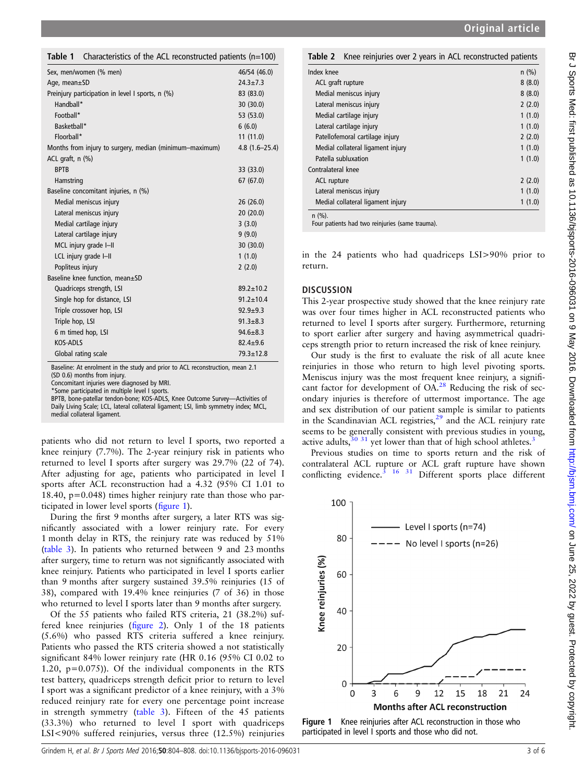# Br J Sports Med: first published as 10.1136/bjsports-2016-096031 on 9 May 2016. Downloaded from http://bjsm.bmj.com/ on June 25, 2022 by guest. Protected by copyright Br J Sports Med: first published as 10.1136/bjsports-2016-096031 on 9 May 2016. Downloaded from <http://bjsm.bmj.com/> on June 25, 2022 by guest. Protected by copyright.

<span id="page-2-0"></span>

| Table 1 Characteristics of the ACL reconstructed patients $(n=100)$ |  |  |
|---------------------------------------------------------------------|--|--|
|                                                                     |  |  |

| Sex, men/women (% men)                                  | 46/54 (46.0)      |
|---------------------------------------------------------|-------------------|
| Age, mean $\pm$ SD                                      | $24.3 + 7.3$      |
| Preinjury participation in level I sports, n (%)        | 83 (83.0)         |
| Handball*                                               | 30(30.0)          |
| Football*                                               | 53 (53.0)         |
| Basketball*                                             | 6(6.0)            |
| Floorball*                                              | 11(11.0)          |
| Months from injury to surgery, median (minimum–maximum) | $4.8(1.6 - 25.4)$ |
| ACL graft, $n$ $(\%)$                                   |                   |
| <b>BPTB</b>                                             | 33 (33.0)         |
| Hamstring                                               | 67 (67.0)         |
| Baseline concomitant injuries, n (%)                    |                   |
| Medial meniscus injury                                  | 26(26.0)          |
| Lateral meniscus injury                                 | 20(20.0)          |
| Medial cartilage injury                                 | 3(3.0)            |
| Lateral cartilage injury                                | 9(9.0)            |
| MCL injury grade I-II                                   | 30 (30.0)         |
| LCL injury grade I-II                                   | 1(1.0)            |
| Popliteus injury                                        | 2(2.0)            |
| Baseline knee function, mean±SD                         |                   |
| Quadriceps strength, LSI                                | $89.2 + 10.2$     |
| Single hop for distance, LSI                            | $91.2 \pm 10.4$   |
| Triple crossover hop, LSI                               | $92.9 + 9.3$      |
| Triple hop, LSI                                         | $91.3 \pm 8.3$    |
| 6 m timed hop, LSI                                      | $94.6 \pm 8.3$    |
| <b>KOS-ADLS</b>                                         | $82.4 \pm 9.6$    |
| Global rating scale                                     | $79.3 \pm 12.8$   |

Baseline: At enrolment in the study and prior to ACL reconstruction, mean 2.1 (SD 0.6) months from injury.

Concomitant injuries were diagnosed by MRI.

\*Some participated in multiple level I sports.

BPTB, bone-patellar tendon-bone; KOS-ADLS, Knee Outcome Survey—Activities of Daily Living Scale; LCL, lateral collateral ligament; LSI, limb symmetry index; MCL, medial collateral ligament.

patients who did not return to level I sports, two reported a knee reinjury (7.7%). The 2-year reinjury risk in patients who returned to level I sports after surgery was 29.7% (22 of 74). After adjusting for age, patients who participated in level I sports after ACL reconstruction had a 4.32 (95% CI 1.01 to 18.40,  $p=0.048$ ) times higher reiniury rate than those who participated in lower level sports (figure 1).

During the first 9 months after surgery, a later RTS was significantly associated with a lower reinjury rate. For every 1 month delay in RTS, the reinjury rate was reduced by 51% ([table 3](#page-3-0)). In patients who returned between 9 and 23 months after surgery, time to return was not significantly associated with knee reinjury. Patients who participated in level I sports earlier than 9 months after surgery sustained 39.5% reinjuries (15 of 38), compared with 19.4% knee reinjuries (7 of 36) in those who returned to level I sports later than 9 months after surgery.

Of the 55 patients who failed RTS criteria, 21 (38.2%) suffered knee reinjuries (fi[gure 2\)](#page-3-0). Only 1 of the 18 patients (5.6%) who passed RTS criteria suffered a knee reinjury. Patients who passed the RTS criteria showed a not statistically significant 84% lower reinjury rate (HR 0.16 (95% CI 0.02 to 1.20, p=0.075)). Of the individual components in the RTS test battery, quadriceps strength deficit prior to return to level I sport was a significant predictor of a knee reinjury, with a 3% reduced reinjury rate for every one percentage point increase in strength symmetry [\(table 3\)](#page-3-0). Fifteen of the 45 patients (33.3%) who returned to level I sport with quadriceps LSI<90% suffered reinjuries, versus three (12.5%) reinjuries

| Knee reinjuries over 2 years in ACL reconstructed patients<br>Table 2 |         |  |  |  |
|-----------------------------------------------------------------------|---------|--|--|--|
| Index knee                                                            | $n$ (%) |  |  |  |
| ACL graft rupture                                                     | 8(8.0)  |  |  |  |
| Medial meniscus injury                                                | 8(8.0)  |  |  |  |
| Lateral meniscus injury                                               | 2(2.0)  |  |  |  |
| Medial cartilage injury                                               | 1(1.0)  |  |  |  |
| Lateral cartilage injury                                              | 1(1.0)  |  |  |  |
| Patellofemoral cartilage injury                                       | 2(2.0)  |  |  |  |
| Medial collateral ligament injury                                     | 1(1.0)  |  |  |  |
| Patella subluxation                                                   | 1(1.0)  |  |  |  |
| Contralateral knee                                                    |         |  |  |  |
| ACL rupture                                                           | 2(2.0)  |  |  |  |
| Lateral meniscus injury                                               | 1(1.0)  |  |  |  |
| Medial collateral ligament injury                                     | 1(1.0)  |  |  |  |
| $n$ (%).                                                              |         |  |  |  |

Four patients had two reinjuries (same trauma).

in the 24 patients who had quadriceps LSI>90% prior to return.

# **DISCUSSION**

This 2-year prospective study showed that the knee reinjury rate was over four times higher in ACL reconstructed patients who returned to level I sports after surgery. Furthermore, returning to sport earlier after surgery and having asymmetrical quadriceps strength prior to return increased the risk of knee reinjury.

Our study is the first to evaluate the risk of all acute knee reinjuries in those who return to high level pivoting sports. Meniscus injury was the most frequent knee reinjury, a signifi-cant factor for development of OA.<sup>[28](#page-4-0)</sup> Reducing the risk of secondary injuries is therefore of uttermost importance. The age and sex distribution of our patient sample is similar to patients in the Scandinavian ACL registries, $2<sup>9</sup>$  and the ACL reinjury rate seems to be generally consistent with previous studies in young, active adults, $30\frac{31}{1}$  $30\frac{31}{1}$  $30\frac{31}{1}$  $30\frac{31}{1}$  yet lower than that of high school athletes.<sup>3</sup>

Previous studies on time to sports return and the risk of contralateral ACL rupture or ACL graft rupture have shown conflicting evidence. $3 \times 16 \times 31$  $3 \times 16 \times 31$  Different sports place different



Figure 1 Knee reinjuries after ACL reconstruction in those who participated in level I sports and those who did not.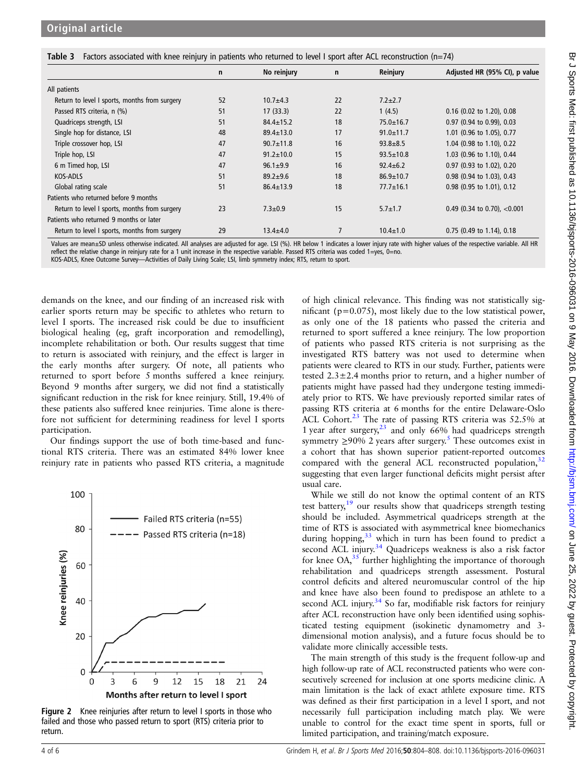<span id="page-3-0"></span>

| Table 3 Factors associated with knee reinjury in patients who returned to level I sport after ACL reconstruction (n=74) |  |  |  |  |  |  |
|-------------------------------------------------------------------------------------------------------------------------|--|--|--|--|--|--|
|-------------------------------------------------------------------------------------------------------------------------|--|--|--|--|--|--|

|                                               | $\mathsf{n}$ | No reinjury     | $\mathsf{n}$ | Reinjury        | Adjusted HR (95% CI), p value  |
|-----------------------------------------------|--------------|-----------------|--------------|-----------------|--------------------------------|
| All patients                                  |              |                 |              |                 |                                |
| Return to level I sports, months from surgery | 52           | $10.7 + 4.3$    | 22           | $7.2 \pm 2.7$   |                                |
| Passed RTS criteria, n (%)                    | 51           | 17(33.3)        | 22           | 1(4.5)          | 0.16 (0.02 to 1.20), 0.08      |
| Quadriceps strength, LSI                      | 51           | $84.4 \pm 15.2$ | 18           | $75.0 \pm 16.7$ | 0.97 (0.94 to 0.99), 0.03      |
| Single hop for distance, LSI                  | 48           | $89.4 \pm 13.0$ | 17           | $91.0 \pm 11.7$ | 1.01 (0.96 to 1.05), 0.77      |
| Triple crossover hop, LSI                     | 47           | $90.7 \pm 11.8$ | 16           | $93.8 + 8.5$    | 1.04 (0.98 to 1.10), 0.22      |
| Triple hop, LSI                               | 47           | $91.2 \pm 10.0$ | 15           | $93.5 \pm 10.8$ | 1.03 (0.96 to 1.10), 0.44      |
| 6 m Timed hop, LSI                            | 47           | $96.1 \pm 9.9$  | 16           | $92.4 \pm 6.2$  | 0.97 (0.93 to 1.02), 0.20      |
| <b>KOS-ADLS</b>                               | 51           | $89.2 + 9.6$    | 18           | $86.9 \pm 10.7$ | 0.98 (0.94 to 1.03), 0.43      |
| Global rating scale                           | 51           | $86.4 \pm 13.9$ | 18           | $77.7 \pm 16.1$ | 0.98 (0.95 to 1.01), 0.12      |
| Patients who returned before 9 months         |              |                 |              |                 |                                |
| Return to level I sports, months from surgery | 23           | $7.3 \pm 0.9$   | 15           | $5.7 \pm 1.7$   | 0.49 (0.34 to 0.70), $<$ 0.001 |
| Patients who returned 9 months or later       |              |                 |              |                 |                                |
| Return to level I sports, months from surgery | 29           | $13.4 + 4.0$    |              | $10.4 \pm 1.0$  | $0.75$ (0.49 to 1.14), 0.18    |

Values are mean±SD unless otherwise indicated. All analyses are adjusted for age. LSI (%). HR below 1 indicates a lower injury rate with higher values of the respective variable. All HR reflect the relative change in reinjury rate for a 1 unit increase in the respective variable. Passed RTS criteria was coded 1=yes, 0=no.

KOS-ADLS, Knee Outcome Survey—Activities of Daily Living Scale; LSI, limb symmetry index; RTS, return to sport.

demands on the knee, and our finding of an increased risk with earlier sports return may be specific to athletes who return to level I sports. The increased risk could be due to insufficient biological healing (eg, graft incorporation and remodelling), incomplete rehabilitation or both. Our results suggest that time to return is associated with reinjury, and the effect is larger in the early months after surgery. Of note, all patients who returned to sport before 5 months suffered a knee reinjury. Beyond 9 months after surgery, we did not find a statistically significant reduction in the risk for knee reinjury. Still, 19.4% of these patients also suffered knee reinjuries. Time alone is therefore not sufficient for determining readiness for level I sports participation.

Our findings support the use of both time-based and functional RTS criteria. There was an estimated 84% lower knee reinjury rate in patients who passed RTS criteria, a magnitude



Figure 2 Knee reinjuries after return to level I sports in those who failed and those who passed return to sport (RTS) criteria prior to return.

of high clinical relevance. This finding was not statistically significant (p=0.075), most likely due to the low statistical power, as only one of the 18 patients who passed the criteria and returned to sport suffered a knee reinjury. The low proportion of patients who passed RTS criteria is not surprising as the investigated RTS battery was not used to determine when patients were cleared to RTS in our study. Further, patients were tested  $2.3 \pm 2.4$  months prior to return, and a higher number of patients might have passed had they undergone testing immediately prior to RTS. We have previously reported similar rates of passing RTS criteria at 6 months for the entire Delaware-Oslo ACL Cohort.<sup>[23](#page-4-0)</sup> The rate of passing RTS criteria was  $52.5\%$  at 1 year after surgery, $^{23}$  $^{23}$  $^{23}$  and only 66% had quadriceps strength symmetry  $\geq$ 90% 2 years after surgery.<sup>[5](#page-4-0)</sup> These outcomes exist in a cohort that has shown superior patient-reported outcomes compared with the general ACL reconstructed population,<sup>[32](#page-5-0)</sup> suggesting that even larger functional deficits might persist after usual care.

While we still do not know the optimal content of an RTS test battery,<sup>[19](#page-4-0)</sup> our results show that quadriceps strength testing should be included. Asymmetrical quadriceps strength at the time of RTS is associated with asymmetrical knee biomechanics during hopping, $33$  which in turn has been found to predict a second ACL injury.<sup>[34](#page-5-0)</sup> Quadriceps weakness is also a risk factor for knee  $OA<sub>35</sub>$  $OA<sub>35</sub>$  $OA<sub>35</sub>$  further highlighting the importance of thorough rehabilitation and quadriceps strength assessment. Postural control deficits and altered neuromuscular control of the hip and knee have also been found to predispose an athlete to a second ACL injury.<sup>[34](#page-5-0)</sup> So far, modifiable risk factors for reinjury after ACL reconstruction have only been identified using sophisticated testing equipment (isokinetic dynamometry and 3 dimensional motion analysis), and a future focus should be to validate more clinically accessible tests.

The main strength of this study is the frequent follow-up and high follow-up rate of ACL reconstructed patients who were consecutively screened for inclusion at one sports medicine clinic. A main limitation is the lack of exact athlete exposure time. RTS was defined as their first participation in a level I sport, and not necessarily full participation including match play. We were unable to control for the exact time spent in sports, full or limited participation, and training/match exposure.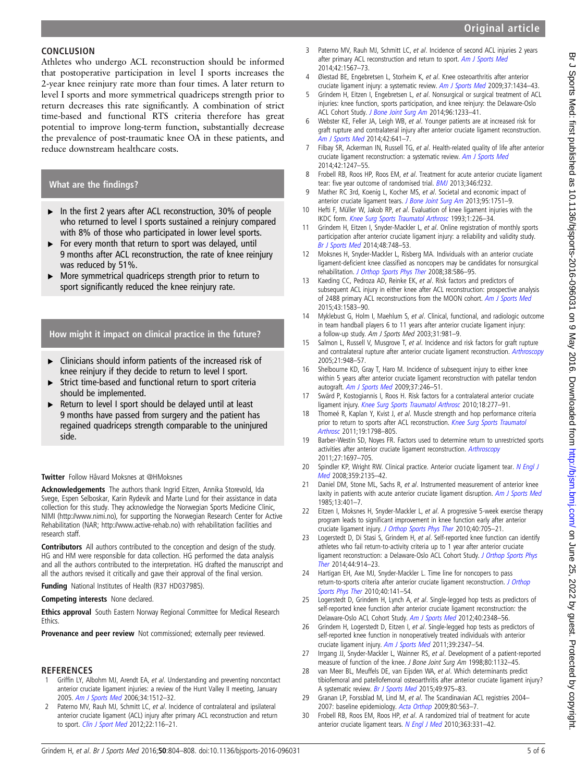# Original article

# <span id="page-4-0"></span>**CONCLUSION**

Athletes who undergo ACL reconstruction should be informed that postoperative participation in level I sports increases the 2-year knee reinjury rate more than four times. A later return to level I sports and more symmetrical quadriceps strength prior to return decreases this rate significantly. A combination of strict time-based and functional RTS criteria therefore has great potential to improve long-term function, substantially decrease the prevalence of post-traumatic knee OA in these patients, and reduce downstream healthcare costs.

# What are the findings?

- ▸ In the first 2 years after ACL reconstruction, 30% of people who returned to level I sports sustained a reinjury compared with 8% of those who participated in lower level sports.
- ▶ For every month that return to sport was delayed, until 9 months after ACL reconstruction, the rate of knee reinjury was reduced by 51%.
- ▸ More symmetrical quadriceps strength prior to return to sport significantly reduced the knee reinjury rate.

# How might it impact on clinical practice in the future?

- ▸ Clinicians should inform patients of the increased risk of knee reinjury if they decide to return to level I sport.
- ▸ Strict time-based and functional return to sport criteria should be implemented.
- Return to level I sport should be delayed until at least 9 months have passed from surgery and the patient has regained quadriceps strength comparable to the uninjured side.

## Twitter Follow Håvard Moksnes at [@HMoksnes](http://twitter.com/HMoksnes)

Acknowledgements The authors thank Ingrid Eitzen, Annika Storevold, Ida Svege, Espen Selboskar, Karin Rydevik and Marte Lund for their assistance in data collection for this study. They acknowledge the Norwegian Sports Medicine Clinic, NIMI [\(http://www.nimi.no\)](http://www.nimi.no), for supporting the Norwegian Research Center for Active Rehabilitation (NAR; [http://www.active-rehab.no\)](http://www.active-rehab.no) with rehabilitation facilities and research staff.

Contributors All authors contributed to the conception and design of the study. HG and HM were responsible for data collection. HG performed the data analysis and all the authors contributed to the interpretation. HG drafted the manuscript and all the authors revised it critically and gave their approval of the final version.

Funding National Institutes of Health (R37 HD037985).

## Competing interests None declared.

Ethics approval South Eastern Norway Regional Committee for Medical Research Ethics.

Provenance and peer review Not commissioned; externally peer reviewed.

## **REFERENCES**

- Griffin LY, Albohm MJ, Arendt EA, et al. Understanding and preventing noncontact anterior cruciate ligament injuries: a review of the Hunt Valley II meeting, January 2005. [Am J Sports Med](http://dx.doi.org/10.1177/0363546506286866) 2006;34:1512–32.
- 2 Paterno MV, Rauh MJ, Schmitt LC, et al. Incidence of contralateral and ipsilateral anterior cruciate ligament (ACL) injury after primary ACL reconstruction and return to sport. [Clin J Sport Med](http://dx.doi.org/10.1016/j.joca.2014.10.00810.1097/JSM.0b013e318246ef9e) 2012;22:116–21.
- 3 Paterno MV, Rauh MJ, Schmitt LC, et al. Incidence of second ACL injuries 2 years after primary ACL reconstruction and return to sport. [Am J Sports Med](http://dx.doi.org/10.1177/0363546514530088) 2014;42:1567–73.
- 4 Øiestad BE, Engebretsen L, Storheim K, et al. Knee osteoarthritis after anterior cruciate ligament injury: a systematic review. [Am J Sports Med](http://dx.doi.org/10.1177/0363546509338827) 2009;37:1434-43.
- 5 Grindem H, Eitzen I, Engebretsen L, et al. Nonsurgical or surgical treatment of ACL injuries: knee function, sports participation, and knee reinjury: the Delaware-Oslo ACL Cohort Study. [J Bone Joint Surg Am](http://dx.doi.org/10.2106/JBJS.M.01054) 2014;96:1233–41.
- 6 Webster KE, Feller JA, Leigh WB, et al. Younger patients are at increased risk for graft rupture and contralateral injury after anterior cruciate ligament reconstruction. [Am J Sports Med](http://dx.doi.org/10.1177/0363546513517540) 2014;42:641–7.
- 7 Filbay SR, Ackerman IN, Russell TG, et al. Health-related quality of life after anterior cruciate ligament reconstruction: a systematic review. [Am J Sports Med](http://dx.doi.org/10.1177/0363546513512774) 2014;42:1247–55.
- 8 Frobell RB, Roos HP, Roos EM, et al. Treatment for acute anterior cruciate ligament tear: five year outcome of randomised trial. **[BMJ](http://dx.doi.org/10.1136/bmj.f232)** 2013;346:f232.
- 9 Mather RC 3rd, Koenig L, Kocher MS, et al. Societal and economic impact of anterior cruciate ligament tears. [J Bone Joint Surg Am](http://dx.doi.org/10.2106/JBJS.K.00657) 2013;95:1751-9.
- 10 Hefti F, Müller W, Jakob RP, et al. Evaluation of knee ligament injuries with the IKDC form. [Knee Surg Sports Traumatol Arthrosc](http://dx.doi.org/10.1007/BF01552149) 1993;1:226–34.
- 11 Grindem H, Eitzen I, Snyder-Mackler L, et al. Online registration of monthly sports participation after anterior cruciate ligament injury: a reliability and validity study. [Br J Sports Med](http://dx.doi.org/10.1136/bjsports-2012-092075) 2014;48:748–53.
- 12 Moksnes H, Snyder-Mackler L, Risberg MA. Individuals with an anterior cruciate ligament-deficient knee classified as noncopers may be candidates for nonsurgical rehabilitation. [J Orthop Sports Phys Ther](http://dx.doi.org/10.2519/jospt.2008.2750) 2008;38:586-95.
- 13 Kaeding CC, Pedroza AD, Reinke EK, et al. Risk factors and predictors of subsequent ACL injury in either knee after ACL reconstruction: prospective analysis of 2488 primary ACL reconstructions from the MOON cohort. [Am J Sports Med](http://dx.doi.org/10.1177/0363546515578836) 2015;43:1583–90.
- 14 Myklebust G, Holm I, Maehlum S, et al. Clinical, functional, and radiologic outcome in team handball players 6 to 11 years after anterior cruciate ligament injury: a follow-up study. Am J Sports Med 2003;31:981–9.
- 15 Salmon L, Russell V, Musgrove T, et al. Incidence and risk factors for graft rupture and contralateral rupture after anterior cruciate ligament reconstruction. [Arthroscopy](http://dx.doi.org/10.1016/j.arthro.2005.04.110) 2005;21:948–57.
- 16 Shelbourne KD, Gray T, Haro M. Incidence of subsequent injury to either knee within 5 years after anterior cruciate ligament reconstruction with patellar tendon autograft. [Am J Sports Med](http://dx.doi.org/10.1177/37.3.e2) 2009;37:246-51.
- 17 Swärd P, Kostogiannis I, Roos H. Risk factors for a contralateral anterior cruciate ligament injury. [Knee Surg Sports Traumatol Arthrosc](http://dx.doi.org/10.1007/s00167-009-1026-3) 2010;18:277–91.
- 18 Thomeé R, Kaplan Y, Kvist J, et al. Muscle strength and hop performance criteria prior to return to sports after ACL reconstruction. [Knee Surg Sports Traumatol](http://dx.doi.org/10.1007/s00167-011-1669-8) [Arthrosc](http://dx.doi.org/10.1007/s00167-011-1669-8) 2011;19:1798–805.
- 19 Barber-Westin SD, Noyes FR. Factors used to determine return to unrestricted sports activities after anterior cruciate ligament reconstruction. [Arthroscopy](http://dx.doi.org/10.1016/j.arthro.2011.09.009) 2011;27:1697–705.
- 20 Spindler KP, Wright RW. Clinical practice. Anterior cruciate ligament tear. [N Engl J](http://dx.doi.org/10.1056/NEJMcp0804745) [Med](http://dx.doi.org/10.1056/NEJMcp0804745) 2008;359:2135–42.
- 21 Daniel DM, Stone ML, Sachs R, et al. Instrumented measurement of anterior knee laxity in patients with acute anterior cruciate ligament disruption. [Am J Sports Med](http://dx.doi.org/10.1177/036354658501300607) 1985;13:401–7.
- 22 Eitzen I, Moksnes H, Snyder-Mackler L, et al. A progressive 5-week exercise therapy program leads to significant improvement in knee function early after anterior cruciate ligament injury. [J Orthop Sports Phys Ther](http://dx.doi.org/10.2519/jospt.2010.3345) 2010;40:705–21.
- 23 Logerstedt D, Di Stasi S, Grindem H, et al. Self-reported knee function can identify athletes who fail return-to-activity criteria up to 1 year after anterior cruciate ligament reconstruction: a Delaware-Oslo ACL Cohort Study. J Orthop Sports Phys Ther 2014;44:914–23.
- 24 Hartigan EH, Axe MJ, Snyder-Mackler L. Time line for noncopers to pass return-to-sports criteria after anterior cruciate ligament reconstruction. J Orthop Sports Phys Ther 2010;40:141–54.
- 25 Logerstedt D, Grindem H, Lynch A, et al. Single-legged hop tests as predictors of self-reported knee function after anterior cruciate ligament reconstruction: the Delaware-Oslo ACL Cohort Study. Am J Sports Med 2012;40:2348–56.
- 26 Grindem H, Logerstedt D, Eitzen I, et al. Single-legged hop tests as predictors of self-reported knee function in nonoperatively treated individuals with anterior cruciate ligament injury. Am J Sports Med 2011;39:2347–54.
- 27 Irrgang JJ, Snyder-Mackler L, Wainner RS, et al. Development of a patient-reported measure of function of the knee. J Bone Joint Surg Am 1998;80:1132–45.
- 28 van Meer BL, Meuffels DE, van Eijsden WA, et al. Which determinants predict tibiofemoral and patellofemoral osteoarthritis after anterior cruciate ligament injury? A systematic review. Br J Sports Med 2015;49:975–83.
- 29 Granan LP, Forssblad M, Lind M, et al. The Scandinavian ACL registries 2004– 2007: baseline epidemiology. Acta Orthop 2009;80:563–7.
- 30 Frobell RB, Roos EM, Roos HP, et al. A randomized trial of treatment for acute anterior cruciate ligament tears. N Engl J Med 2010;363:331-42.